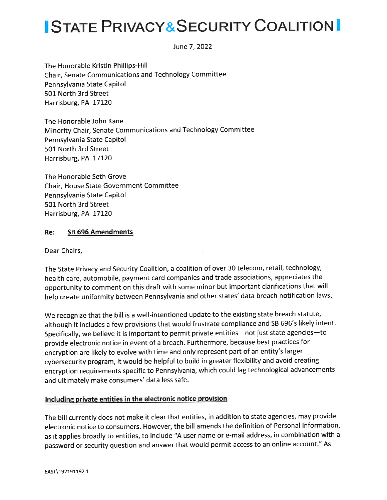### ISTATE PRIVACY&SECURITY COALITION

June 7,2O22

The Honorable Kristin Phillips-Hill Chair, Senate Communications and Technology Committee Pennsylvania State Capitol 501 North 3rd Street Harrisburg, PA 17120

The Honorable John Kane Minority Chair, Senate Communications and Technology Committee Pennsylvania State Capitol 501 North 3rd Street Harrisburg, PA 17120

The Honorable Seth Grove Chair, House State Government Committee Pennsylvania State Capitol 501 North 3rd Street Harrisburg, PA 17120

#### Re: SB 696 Amendments

Dear Chairs,

The State Privacy and Security Coalition, a coalition of over 30 telecom, retail, technology, health care, automobile, payment card companies and trade associations, appreciates the opportunity to comment on this draft with some minor but important clarifications that will help create uniformity between Pennsylvania and other states' data breach notification laws

We recognize that the bill is a well-intentioned update to the existing state breach statute, although it includes a few provisions that would frustrate compliance and SB 696's likely intent. Specifically, we believe it is important to permit private entities-not just state agencies-to provide electronic notice in event of a breach. Furthermore, because best practices for encryption are likely to evolve with time and only represent part of an entity's larger cybersecurity program, it would be helpful to build in greater flexibility and avoid creating encryption requirements specific to Pennsylvania, which could lag technological advancements and ultimately make consumers' data less safe.

### Including private entities in the electronic notice provision

The bill currently does not make it clear that entities, in addition to state agencies, may provide electronic notice to consumers. However, the bill amends the definition of Personal lnformation, as it applies broadly to entities, to include "A user name or e-mail address, in combination with <sup>a</sup> password or security question and answer that would permit access to an online account." As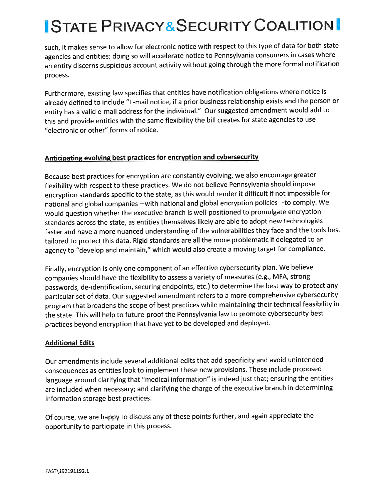# **ISTATE PRIVACY&SECURITY COALITION**

such, it makes sense to allow for electronic notice with respect to this type of data for both state agencies and entities; doing so will accelerate notice to Pennsylvania consumers in cases where an entity discerns suspicious account activity without going through the more formal notification process.

Furthermore, existing law specifies that entities have notification obligations where notice is already defined to include "E-mail notice, if a prior business relationship exists and the person or entity has a valid e-mail address for the individual." Our suggested amendment would add to this and provide entities with the same flexibility the bill creates for state agencies to use "electronic or other" forms of notice.

### Anticipating evolving best practices for encryption and cybersecurity

Because best practices for encryption are constantly evolving, we also encourage greater flexibility with respect to these practices. We do not believe Pennsylvania should impose encryption standards specific to the state, as this would render it difficult if not impossible for national and global companies-with national and global encryption policies-to comply. We would question whether the executive branch is well-positioned to promulgate encryption standards across the state, as entities themselves likely are able to adopt new technologies faster and have a more nuanced understanding of the vulnerabilities they face and the tools best tailored to protect this data. Rigid standards are all the more problematic if delegated to an agency to "develop and maintain," which would also create a moving target for compliance.

Finally, encryption is only one component of an effective cybersecurity plan. We believe companies should have the flexibility to assess a variety of measures (e.g., MFA, strong passwords, de-identification, securing endpoints, etc.) to determine the best way to protect any particular set of data. Our suggested amendment refers to a more comprehensive cybersecurity program that broadens the scope of best practices while maintaining their technical feasibility in the state. This will help to future-proof the Pennsylvania law to promote cybersecurity best practices beyond encryption that have yet to be developed and deployed.

### Additional Edits

Our amendments include several additional edits that add specificity and avoid unintended consequences as entities look to implement these new provisions. These include proposed language around clarifying that "medical information" is indeed just that; ensuring the entities are included when necessary; and clarifying the charge of the executive branch in determining information storage best practices.

Of course, we are happy to discuss any of these points further, and again appreciate the opportunity to participate in this process.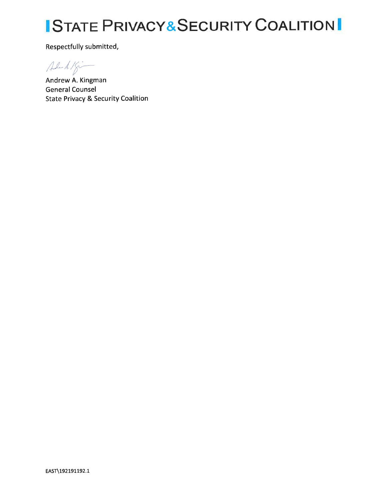## **ISTATE PRIVACY&SECURITY COALITION**

Respectfully submitted,

 $44.15$ 

Andrew A. Kingman **General Counsel State Privacy & Security Coalition**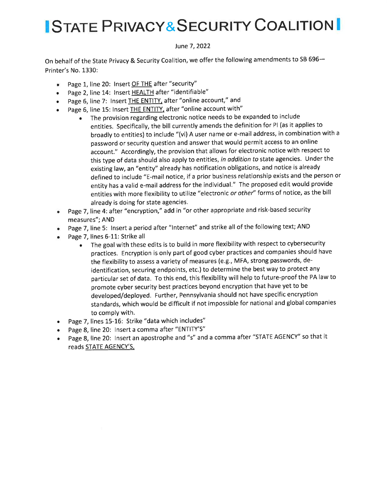### **ISTATE PRIVACY&SECURITY COALITIONI**

#### June 7, 2022

On behalf of the State Privacy & Security Coalition, we offer the following amendments to SB 696-Printer's No. 1330:

- e Page 1, line 20: lnsert OF THE after "security"
- Page 2, line 14: Insert HEALTH after "identifiable"
- Page 6, line 7: Insert THE ENTITY, after "online account," and
- Page 6, line 15: Insert THE ENTITY, after "online account with"
	- r The provision regarding electronic notice needs to be expanded to include entities. Specifically, the bill currently amends the definition for Pl (as it applies to broadly to entities) to include "(vi) A user name or e-mail address, in combination with <sup>a</sup> password or security question and answer that would permit access to an online account," Accordingly, the provision that allows for electronic notice with respect to this type of data should also apply to entities, in addition to state agencies. Under the existing law, an "entity" already has notification obligations, and notice is already defined to include "E-mail notice, if a prior business relationship exists and the person or entity has a valid e-mail address for the individual." The proposed edit would provide entities with more flexibility to utilize "electronic or other" forms of notice, as the bill already is doing for state agencies.
- Page 7, line 4: after "encryption," add in "or other appropriate and risk-based security measures"; AND
- Page 7, line 5: Insert a period after "Internet" and strike all of the following text; AND
- . Page 7, lines 6-11: Strike all
	- . The goal with these edits is to build in more flexibility with respect to cybersecurity practices. Encryption is only part of good cyber practices and companies should have the flexibility to assess a variety of measures (e.g., MFA, strong passwords, deidentification, securing endpoints, etc.) to determine the best way to protect any particular set of data. To this end, this flexibility will help to future-proof the PA law to promote cyber security best practices beyond encryption that have yet to be developed/deployed. Further, Pennsylvania should not have specific encryption standards, which would be difficult if not impossible for national and global companies to comply with.
- o Page 7, lines 15-16: Strike "data which includes"
- o Page 8, line 20: lnsert a comma after "ENTITY'S"
- Page 8, line 20: Insert an apostrophe and "s" and a comma after "STATE AGENCY" so that it reads STATE AGENCY'S,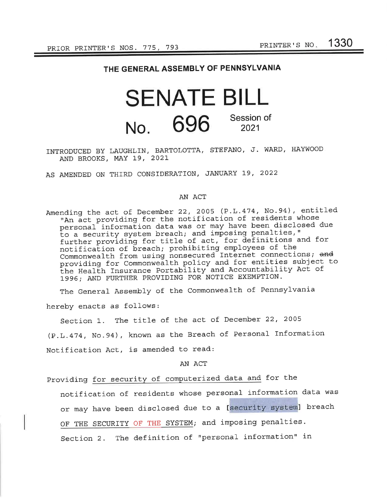### THE GENERAL ASSEMBLY OF PENNSYLVANIA

### SENATE BILL No. 696 Session of 2021

### INTRODUCED BY LAUGHLIN, BARTOLOTTA, STEFANO, J. WARD, HAYWOOD AND BROOKS, MAY 19, 2O2I

AS AMENDED ON THIRD CONSIDERATION, JANUARY 19, 2022

#### AN ACT

Amending the act of Decembet 22, 2OO5 (P.L.474, No.94), entitled "An act providing for the notification of residents whose personal information data was or may have been disclosed due to a security system breach; and imposing penalties, " further providing for title of act, for definitions and for notification of breach; prohibiting employees of the Commonwealth from using nonsecured Internet connections; and providing for Commonwealth policy and for entities subject to providing for Commonweaten poilcy and for energies sasject<br>the Health Insurance Portability and Accountability Act of 1996; AND FURTHER PROVIDING FOR NOTICE EXEMPTION.

The General Assembly of the Commonwealth of Pennsylvania

hereby enacts as follows:

Section 1. The title of the act of December 22, 2005 (P.L. 4'74, No.94) , known as the Breach of Personal Information Notification Act, is amended to read:

AN ACT

Providing for security of computerized data and for the

notification of residents whose personal information data was or may have been disclosed due to a [security system] breach

OF THE SECURITY OF THE SYSTEM; and imposing penalties.

Section 2. The definition of "personal information" in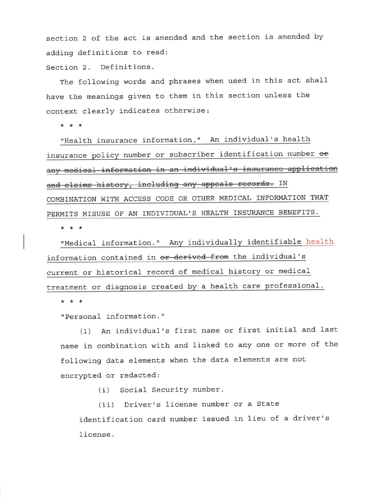section 2 of the act is amended and the section is amended bY adding definitions to read:

Section 2. Definitions.

The following words and phrases when used in this act shall have the meanings given to them in this section unless the context clearly indicates otherwise

\*\*\*

"Health insurance information." An individual's health insurance policy number or subscriber identification number  $e$ any medical information in an individual's insurance application and claims history, including any appeals records. IN COMBINATION WITH ACCESS CODE OR OTHER MEDICAL INFORMATION THAT PERMITS MISUSE OF AN INDIVIDUAL'S HEALTH INSURANCE BENEFITS.

\*\*\*

"Medical information." Any individually identifiable health information contained in or derived from the individual's current or historical record of medical history or medicaltreatment or diagnosis created by a health care professional.

\*\*\*

"Personal information."

(1) An individual's first name or first initial and last name in combination with and linked to any one or more of the following data elements when the data elements are not encrypted or redacted:

(i) Social Security number.

(ii) Driver's license number or a State identification card number issued in lieu of a driver's license.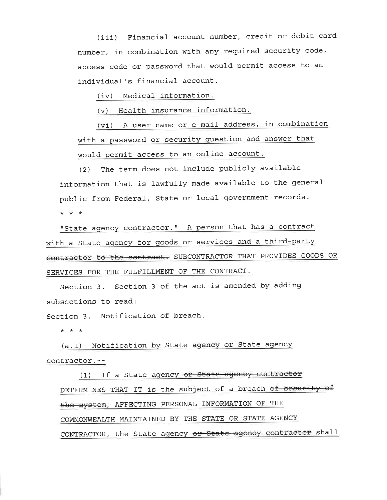(iii) Financial account number, credit or debit card number, in combination with any required security code, access code or password that would permit access to an individual's financial account.

(iv) Medical information.

 $(v)$  Health insurance information.

(vi) A user name or e-mail address, in combination with a password or security question and answer that would permit access to an online account.

(2) The term does not include publicly available information that is lawfully made available to the general public from Federal, State or local government records.

\*\*\*

"State agency contractor." A person that has a contract with a State aqency for qoods or services and a third-party contractor to the contract. SUBCONTRACTOR THAT PROVIDES GOODS OR SERVICES FOR THE FULFILLMENT OF THE CONTRACT.

section 3. section 3 of the act is amended by adding subsections to read:

Section 3. Notification of breach.

\*\*\*

(a.1) Notification by State agency or State agency contractor.--

(1) If a State agency or State agency contractor DETERMINES THAT IT is the subject of a breach of security of the system, AFFECTING PERSONAL INFORMATION OF THE COMMONWEALTH MAINTAINED BY THE STATE OR STATE AGENCY CONTRACTOR, the State agency or State agency contractor shall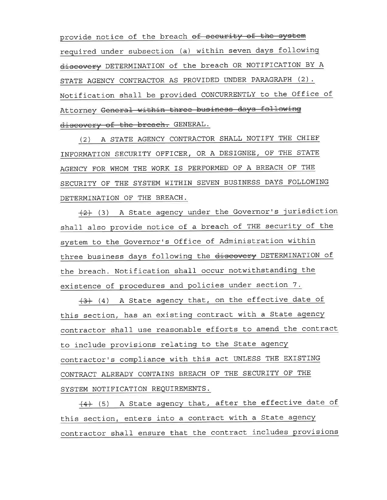provide notice of the breach of security of the system required under subsection (a) within seven days followinq discovery DETERMINATION of the breach OR NOTIFICATION BY A STATE AGENCY CONTRACTOR AS PROVIDED UNDER PARAGRAPH (2). Notification shall be provided CONCURRENTLY to the Office of Attorney General within three business days following discovery of the breach. GENERAL.

(2) A STATE AGENCY CONTRACTOR SHALL NOTIFY THE CHIEF INFORMATION SECURITY OFFICER, OR A DESIGNEE, OF THE STATE AGENCY FOR WHOM THE WORK IS PERFORMED OF A BREACH OF THE SECURITY OF THE SYSTEM WITHIN SEVEN BUSINESS DAYS FOLLOWING DETERMINATION OF THE BREACH.

 $+2$ + (3) A State agency under the Governor's jurisdiction shall also provide notice of a breach of THE security of the system to the Governor's Office of Administration within three business days following the discovery DETERMINATION of the breach. Notification shall occur notwithstanding the existence of procedures and policies under section 7.

(3) (4) A State agency that, on the effective date of this section, has an existing contract with a State agency contractor shall use reasonable efforts to amend the contract to include provisions relating to the State agency contractor's compliance with this act UNLESS THE EXISTING CONTRACT ALREADY CONTAINS BREACH OF THE SECURITY OF THE SYSTEM NOTIFICATION REQUIREMENTS .

 $(4)$  (5) A State agency that, after the effective date of this section, enters into a contract with a State agency contractor shall ensure that the contract includes provisions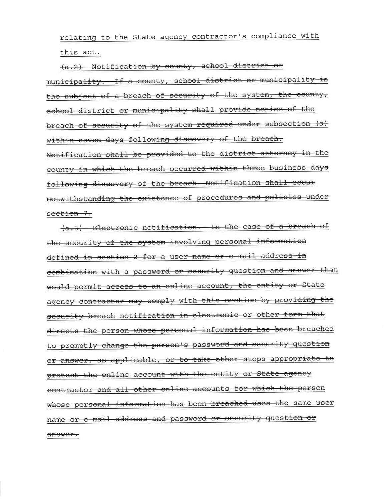relating to the State agency contractor's compliance with this act.

(a.2) Notification by county, school district or municipality. If a county, school district or municipality is the subject of a breach of security of the system, the county, school district or municipality shall provide notice of the breach of security of the system required under subsection (a) within seven days following discovery of the breach. Notification shall be provided to the district attorney in the county in which the breach occurred within three business days following discovery of the breach. Notification shall occur notwithstanding the existence of procedures and policies under seetion 7.

(a.3) Electronic notification. In the case of a breach of the security of the system involving personal information defined in section 2 for a user name or e-mail address in combination with a password or security question and answer that would permit access to an online account, the entity or State agency contractor may comply with this section by providing the security breach notification in electronic or other form that directs the person whose personal information has been breached to promptly change the person's password and security question or answer, as applicable, or to take other steps appropriate to protect the online account with the entity or State agency contractor and all other online accounts for which the person whose personal information has been breached uses the same user name or e-mail address and password or security question or answer.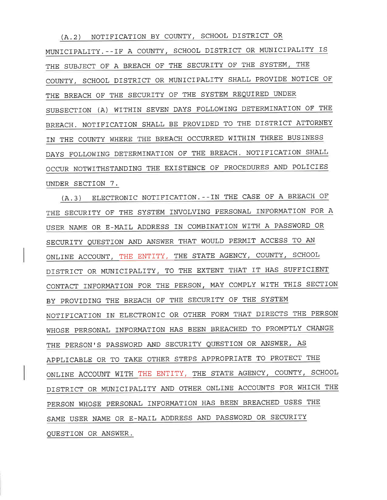(A.2) NOTIFICATION BY COUNTY, SCHOOL DISTRICT OR MUNICIPALITY. --IF A COUNTY, SCHOOL DISTRICT OR MUNICIPALITY IS THE SUBJECT OF A BREACH OF THE SECURITY OF THE SYSTEM, THE COUNTY, SCHOOL DISTRICT OR MUNICIPALITY SHALL PROVIDE NOTICE OF THE BREACH OF THE SECURITY OF THE SYSTEM REQUIRED UNDER SUBSECTION (A) WITHIN SEVEN DAYS FOLLOWING DETERMINATION OF THE BREACH. NOTIFICATION SHALL BE PROVIDED TO THE DISTRICT ATTORNEY IN THE COUNTY WHERE THE BREACH OCCURRED WITHIN THREE BUSINESS DAYS FOLLOWING DETERMINATION OF THE BREACH. NOTIFICATION SHALL OCCUR NOTWITHSTANDING THE EXISTENCE OF PROCEDURES AND POLICIES UNDER SECTION 7.

(A.3) ELECTRONIC NOTIFICATION. --IN THE CASE OF A BREACH OF THE SECURITY OF THE SYSTEM INVOLVING PERSONAL INFORMATION FOR A USER NAME OR E-MAIL ADDRESS IN COMBINATION WITH A PASSWORD OR SECURITY QUESTION AND ANSWER THAT WOULD PERMIT ACCESS TO AN ONL]NE ACCOUNT, THE ENTITY, THE STATE AGENCY, COUNTY, SCHOOL DISTRICT OR MUNICIPALITY, TO THE EXTENT THAT IT HAS SUFFICIENT CONTACT INFORMATION FOR THE PERSON, MAY COMPLY WITH THIS SECTION BY PROVIDING THE BREACH OF THE SECURITY OF THE SYSTEM NOTIFICATION IN ELECTRONIC OR OTHER FORM THAT DIRECTS THE PERSON WHOSE PERSONAL INFORMATION HAS BEEN BREACHED TO PROMPTLY CHANGE THE PERSON'S PASSWORD AND SECURITY QUESTION OR ANSWER, AS APPLICABLE OR TO TAKE OTHER STEPS APPROPRIATE TO PROTECT THE ONLINE ACCOUNT WITH THE ENTITY, THE STATE AGENCY, COUNTY, SCHOOL DISTRICT OR MUNICIPALITY AND OTHER ONLINE ACCOUNTS FOR WHICH THE PERSON WHOSE PERSONAL INFORMATION HAS BEEN BREACHED USES THE SAME USER NAME OR E-MAI L ADDRESS AND PASSWORD OR SECURITYQUESTION OR ANSWER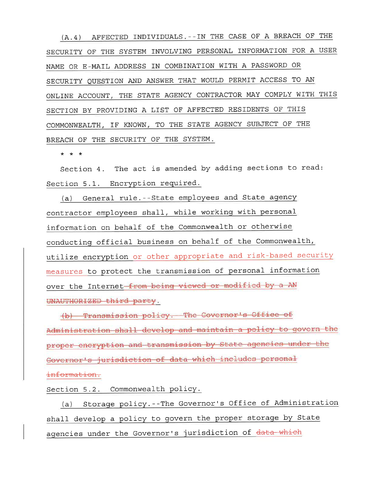(A.4) AFFECTED INDIVIDUALS. -- IN THE CASE OF A BREACH OF THE SECURITY OF THE SYSTEM INVOLVING PERSONAL INFORMATION FOR A USER NAME OR E-MAIL ADDRESS IN COMBINATION WITH A PASSWORD OR SECURITY QUESTION AND ANSWER THAT WOULD PERMIT ACCESS TO AN ONLINE ACCOUNT, THE STATE AGENCY CONTRACTOR MAY COMPLY WITH THIS SECTION BY PROVIDING A LIST OF AFFECTED RESIDENTS OF THIS COMMONWEALTH, IF KNOWN, TO THE STATE AGENCY SUBJECT OF THE BREACH OF THE SECURITY OF THE SYSTEM.

\* \* \*

Section 4. The act is amended by adding sections to read: Section 5.1. Encryption required.

(a) General rule. -- State employees and State agency contractor employees shall, while working with personal information on behalf of the Commonwealth or otherwise conducting official business on behalf of the Commonwealth, utilize encryption or other appropriate and risk-based security measures to protect the transmission of personal information over the Internet-from being viewed or modified by a AN UNAUTHORIZED third party.

(b) Transmission policy. The Governor's Office of Administration shall develop and maintain a policy to govern the proper eneryption and transmission by State agencies under the Governor's jurisdiction of data which includes personal

information.

Section 5.2. Commonwealth policy.

(a) Storage policy.--The Governor's Office of Administration shall develop a policy to govern the proper storage by State agencies under the Governor's jurisdiction of data which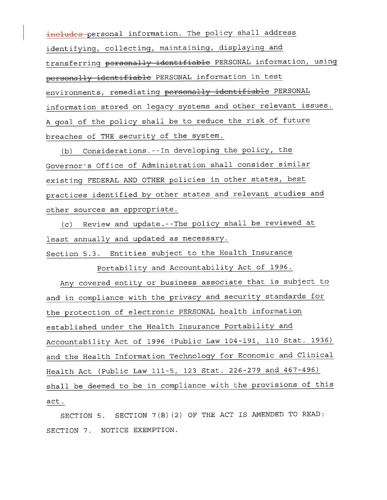includes personal information. The policy shall address identifying, collecting, maintaining, displaying and transferring personally identifiable PERSONAL information, using personally identifiable PERSONAL information in test environments, remediating personally identifiable PERSONAL information stored on legacy systems and other relevant issues. A goal of the policy shall be to reduce the risk of future breaches of THE security of the system.

 $(b)$  Considerations.--In developing the policy, the Governor's Office of Administration shall consider similar existing FEDERAL AND OTHER policies in other states, best practices identified bv other states and relevant studies and other sources as appropriate.

(c) Review and update --The policy shal1 be reviewed at least annually and updated as necessary.

Section 5.3. Entities subject to the Health Insurance

Portability and Accountability Act of 1996.

Any covered entity or business associate that is subiect to and in compliance with the privacy and security standards for the protection of electronic PERSONAL health information established under the Health Insurance Portability and Accountability Act of 1996 (Public Law 104-191, 110 Stat. 1936) and the Health Tnformation Technoloqy for Economic and Clinical Health Act (Public Law 111-5, 123 Stat. 226-279 and 467-496) shall be deemed to be in compliance with the provisions of this act.

SECTION 5. SECTION 7(B)(2) OF THE ACT IS AMENDED TO READ SECTION 7. NOTICE EXEMPTTON.